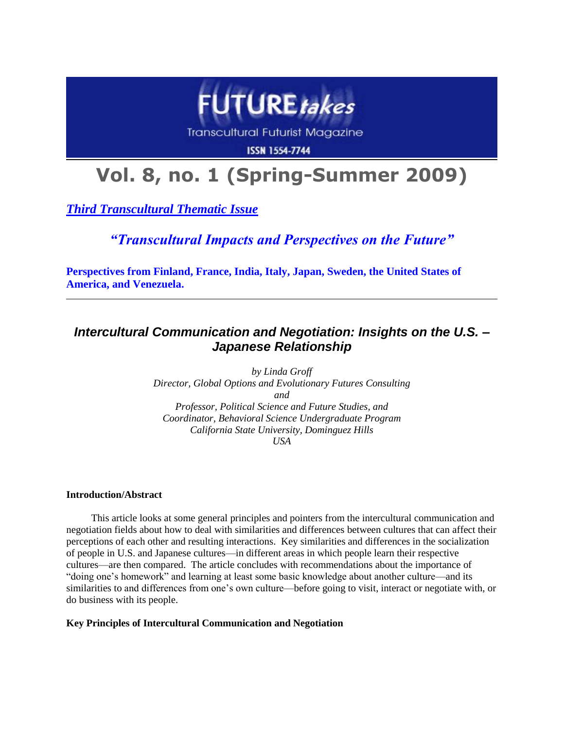

**Transcultural Futurist Magazine** 

**ISSN 1554-7744** 

# **Vol. 8, no. 1 (Spring-Summer 2009)**

*Third Transcultural Thematic Issue*

*"Transcultural Impacts and Perspectives on the Future"*

**Perspectives from Finland, France, India, Italy, Japan, Sweden, the United States of America, and Venezuela.**

# *Intercultural Communication and Negotiation: Insights on the U.S. – Japanese Relationship*

*by Linda Groff Director, Global Options and Evolutionary Futures Consulting and Professor, Political Science and Future Studies, and Coordinator, Behavioral Science Undergraduate Program California State University, Dominguez Hills USA*

## **Introduction/Abstract**

This article looks at some general principles and pointers from the intercultural communication and negotiation fields about how to deal with similarities and differences between cultures that can affect their perceptions of each other and resulting interactions. Key similarities and differences in the socialization of people in U.S. and Japanese cultures—in different areas in which people learn their respective cultures—are then compared. The article concludes with recommendations about the importance of "doing one's homework" and learning at least some basic knowledge about another culture—and its similarities to and differences from one's own culture—before going to visit, interact or negotiate with, or do business with its people.

## **Key Principles of Intercultural Communication and Negotiation**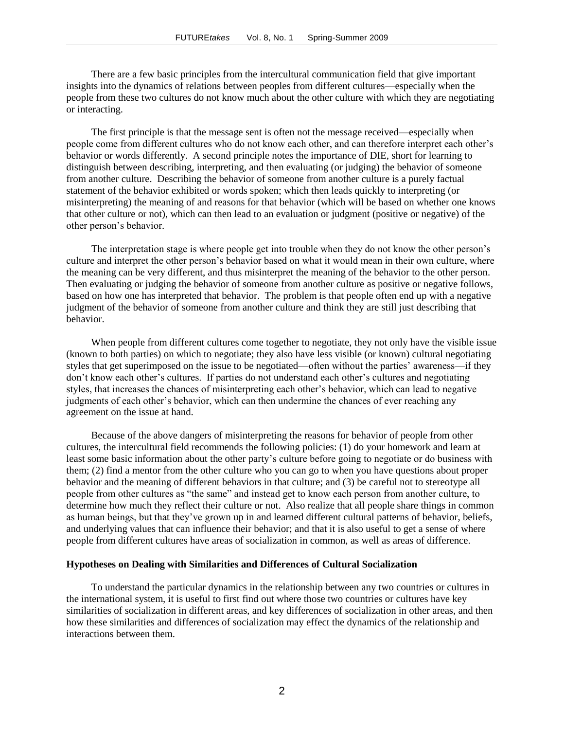There are a few basic principles from the intercultural communication field that give important insights into the dynamics of relations between peoples from different cultures—especially when the people from these two cultures do not know much about the other culture with which they are negotiating or interacting.

The first principle is that the message sent is often not the message received—especially when people come from different cultures who do not know each other, and can therefore interpret each other's behavior or words differently. A second principle notes the importance of DIE, short for learning to distinguish between describing, interpreting, and then evaluating (or judging) the behavior of someone from another culture. Describing the behavior of someone from another culture is a purely factual statement of the behavior exhibited or words spoken; which then leads quickly to interpreting (or misinterpreting) the meaning of and reasons for that behavior (which will be based on whether one knows that other culture or not), which can then lead to an evaluation or judgment (positive or negative) of the other person's behavior.

The interpretation stage is where people get into trouble when they do not know the other person's culture and interpret the other person's behavior based on what it would mean in their own culture, where the meaning can be very different, and thus misinterpret the meaning of the behavior to the other person. Then evaluating or judging the behavior of someone from another culture as positive or negative follows, based on how one has interpreted that behavior. The problem is that people often end up with a negative judgment of the behavior of someone from another culture and think they are still just describing that behavior.

When people from different cultures come together to negotiate, they not only have the visible issue (known to both parties) on which to negotiate; they also have less visible (or known) cultural negotiating styles that get superimposed on the issue to be negotiated—often without the parties' awareness—if they don't know each other's cultures. If parties do not understand each other's cultures and negotiating styles, that increases the chances of misinterpreting each other's behavior, which can lead to negative judgments of each other's behavior, which can then undermine the chances of ever reaching any agreement on the issue at hand.

Because of the above dangers of misinterpreting the reasons for behavior of people from other cultures, the intercultural field recommends the following policies: (1) do your homework and learn at least some basic information about the other party's culture before going to negotiate or do business with them; (2) find a mentor from the other culture who you can go to when you have questions about proper behavior and the meaning of different behaviors in that culture; and (3) be careful not to stereotype all people from other cultures as "the same" and instead get to know each person from another culture, to determine how much they reflect their culture or not. Also realize that all people share things in common as human beings, but that they've grown up in and learned different cultural patterns of behavior, beliefs, and underlying values that can influence their behavior; and that it is also useful to get a sense of where people from different cultures have areas of socialization in common, as well as areas of difference.

#### **Hypotheses on Dealing with Similarities and Differences of Cultural Socialization**

To understand the particular dynamics in the relationship between any two countries or cultures in the international system, it is useful to first find out where those two countries or cultures have key similarities of socialization in different areas, and key differences of socialization in other areas, and then how these similarities and differences of socialization may effect the dynamics of the relationship and interactions between them.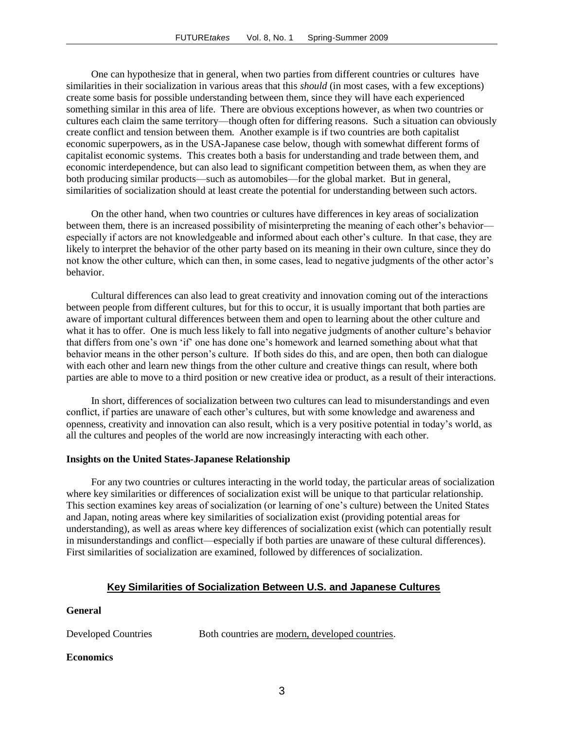One can hypothesize that in general, when two parties from different countries or cultures have similarities in their socialization in various areas that this *should* (in most cases, with a few exceptions) create some basis for possible understanding between them, since they will have each experienced something similar in this area of life. There are obvious exceptions however, as when two countries or cultures each claim the same territory—though often for differing reasons. Such a situation can obviously create conflict and tension between them. Another example is if two countries are both capitalist economic superpowers, as in the USA-Japanese case below, though with somewhat different forms of capitalist economic systems. This creates both a basis for understanding and trade between them, and economic interdependence, but can also lead to significant competition between them, as when they are both producing similar products—such as automobiles—for the global market. But in general, similarities of socialization should at least create the potential for understanding between such actors.

On the other hand, when two countries or cultures have differences in key areas of socialization between them, there is an increased possibility of misinterpreting the meaning of each other's behavior especially if actors are not knowledgeable and informed about each other's culture. In that case, they are likely to interpret the behavior of the other party based on its meaning in their own culture, since they do not know the other culture, which can then, in some cases, lead to negative judgments of the other actor's behavior.

Cultural differences can also lead to great creativity and innovation coming out of the interactions between people from different cultures, but for this to occur, it is usually important that both parties are aware of important cultural differences between them and open to learning about the other culture and what it has to offer. One is much less likely to fall into negative judgments of another culture's behavior that differs from one's own ‗if' one has done one's homework and learned something about what that behavior means in the other person's culture. If both sides do this, and are open, then both can dialogue with each other and learn new things from the other culture and creative things can result, where both parties are able to move to a third position or new creative idea or product, as a result of their interactions.

In short, differences of socialization between two cultures can lead to misunderstandings and even conflict, if parties are unaware of each other's cultures, but with some knowledge and awareness and openness, creativity and innovation can also result, which is a very positive potential in today's world, as all the cultures and peoples of the world are now increasingly interacting with each other.

### **Insights on the United States-Japanese Relationship**

For any two countries or cultures interacting in the world today, the particular areas of socialization where key similarities or differences of socialization exist will be unique to that particular relationship. This section examines key areas of socialization (or learning of one's culture) between the United States and Japan, noting areas where key similarities of socialization exist (providing potential areas for understanding), as well as areas where key differences of socialization exist (which can potentially result in misunderstandings and conflict—especially if both parties are unaware of these cultural differences). First similarities of socialization are examined, followed by differences of socialization.

### **Key Similarities of Socialization Between U.S. and Japanese Cultures**

#### **General**

Developed Countries Both countries are modern, developed countries.

### **Economics**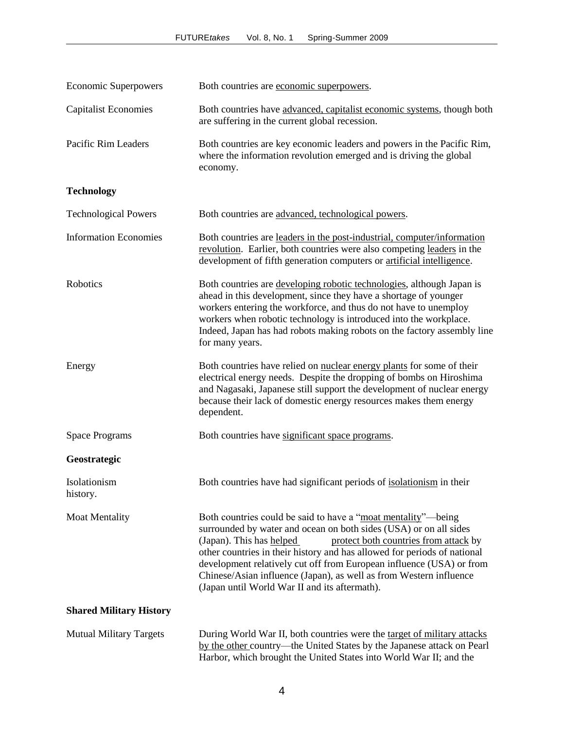| <b>Economic Superpowers</b>    | Both countries are economic superpowers.                                                                                                                                                                                                                                                                                                                                                                                                                                           |  |
|--------------------------------|------------------------------------------------------------------------------------------------------------------------------------------------------------------------------------------------------------------------------------------------------------------------------------------------------------------------------------------------------------------------------------------------------------------------------------------------------------------------------------|--|
| <b>Capitalist Economies</b>    | Both countries have advanced, capitalist economic systems, though both<br>are suffering in the current global recession.                                                                                                                                                                                                                                                                                                                                                           |  |
| Pacific Rim Leaders            | Both countries are key economic leaders and powers in the Pacific Rim,<br>where the information revolution emerged and is driving the global<br>economy.                                                                                                                                                                                                                                                                                                                           |  |
| <b>Technology</b>              |                                                                                                                                                                                                                                                                                                                                                                                                                                                                                    |  |
| <b>Technological Powers</b>    | Both countries are advanced, technological powers.                                                                                                                                                                                                                                                                                                                                                                                                                                 |  |
| <b>Information Economies</b>   | Both countries are leaders in the post-industrial, computer/information<br>revolution. Earlier, both countries were also competing leaders in the<br>development of fifth generation computers or artificial intelligence.                                                                                                                                                                                                                                                         |  |
| Robotics                       | Both countries are developing robotic technologies, although Japan is<br>ahead in this development, since they have a shortage of younger<br>workers entering the workforce, and thus do not have to unemploy<br>workers when robotic technology is introduced into the workplace.<br>Indeed, Japan has had robots making robots on the factory assembly line<br>for many years.                                                                                                   |  |
| Energy                         | Both countries have relied on nuclear energy plants for some of their<br>electrical energy needs. Despite the dropping of bombs on Hiroshima<br>and Nagasaki, Japanese still support the development of nuclear energy<br>because their lack of domestic energy resources makes them energy<br>dependent.                                                                                                                                                                          |  |
| <b>Space Programs</b>          | Both countries have significant space programs.                                                                                                                                                                                                                                                                                                                                                                                                                                    |  |
| Geostrategic                   |                                                                                                                                                                                                                                                                                                                                                                                                                                                                                    |  |
| Isolationism<br>history.       | Both countries have had significant periods of isolationism in their                                                                                                                                                                                                                                                                                                                                                                                                               |  |
| <b>Moat Mentality</b>          | Both countries could be said to have a "moat mentality"—being<br>surrounded by water and ocean on both sides (USA) or on all sides<br>(Japan). This has helped<br>protect both countries from attack by<br>other countries in their history and has allowed for periods of national<br>development relatively cut off from European influence (USA) or from<br>Chinese/Asian influence (Japan), as well as from Western influence<br>(Japan until World War II and its aftermath). |  |
| <b>Shared Military History</b> |                                                                                                                                                                                                                                                                                                                                                                                                                                                                                    |  |
| <b>Mutual Military Targets</b> | During World War II, both countries were the target of military attacks<br>by the other country—the United States by the Japanese attack on Pearl                                                                                                                                                                                                                                                                                                                                  |  |

Harbor, which brought the United States into World War II; and the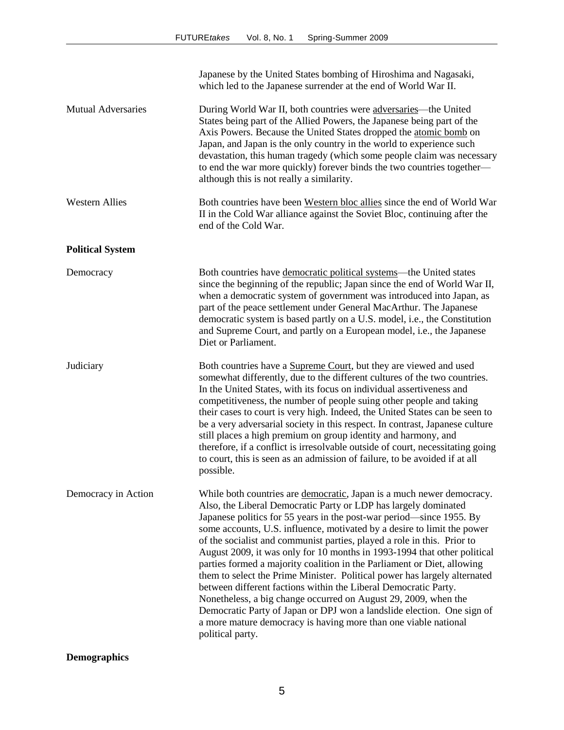|                           | Japanese by the United States bombing of Hiroshima and Nagasaki,<br>which led to the Japanese surrender at the end of World War II.                                                                                                                                                                                                                                                                                                                                                                                                                                                                                                                                                                                                                                                                                                                                                                               |
|---------------------------|-------------------------------------------------------------------------------------------------------------------------------------------------------------------------------------------------------------------------------------------------------------------------------------------------------------------------------------------------------------------------------------------------------------------------------------------------------------------------------------------------------------------------------------------------------------------------------------------------------------------------------------------------------------------------------------------------------------------------------------------------------------------------------------------------------------------------------------------------------------------------------------------------------------------|
| <b>Mutual Adversaries</b> | During World War II, both countries were adversaries—the United<br>States being part of the Allied Powers, the Japanese being part of the<br>Axis Powers. Because the United States dropped the atomic bomb on<br>Japan, and Japan is the only country in the world to experience such<br>devastation, this human tragedy (which some people claim was necessary<br>to end the war more quickly) forever binds the two countries together—<br>although this is not really a similarity.                                                                                                                                                                                                                                                                                                                                                                                                                           |
| <b>Western Allies</b>     | Both countries have been Western bloc allies since the end of World War<br>II in the Cold War alliance against the Soviet Bloc, continuing after the<br>end of the Cold War.                                                                                                                                                                                                                                                                                                                                                                                                                                                                                                                                                                                                                                                                                                                                      |
| <b>Political System</b>   |                                                                                                                                                                                                                                                                                                                                                                                                                                                                                                                                                                                                                                                                                                                                                                                                                                                                                                                   |
| Democracy                 | Both countries have democratic political systems—the United states<br>since the beginning of the republic; Japan since the end of World War II,<br>when a democratic system of government was introduced into Japan, as<br>part of the peace settlement under General MacArthur. The Japanese<br>democratic system is based partly on a U.S. model, i.e., the Constitution<br>and Supreme Court, and partly on a European model, i.e., the Japanese<br>Diet or Parliament.                                                                                                                                                                                                                                                                                                                                                                                                                                        |
| Judiciary                 | Both countries have a Supreme Court, but they are viewed and used<br>somewhat differently, due to the different cultures of the two countries.<br>In the United States, with its focus on individual assertiveness and<br>competitiveness, the number of people suing other people and taking<br>their cases to court is very high. Indeed, the United States can be seen to<br>be a very adversarial society in this respect. In contrast, Japanese culture<br>still places a high premium on group identity and harmony, and<br>therefore, if a conflict is irresolvable outside of court, necessitating going<br>to court, this is seen as an admission of failure, to be avoided if at all<br>possible.                                                                                                                                                                                                       |
| Democracy in Action       | While both countries are democratic, Japan is a much newer democracy.<br>Also, the Liberal Democratic Party or LDP has largely dominated<br>Japanese politics for 55 years in the post-war period—since 1955. By<br>some accounts, U.S. influence, motivated by a desire to limit the power<br>of the socialist and communist parties, played a role in this. Prior to<br>August 2009, it was only for 10 months in 1993-1994 that other political<br>parties formed a majority coalition in the Parliament or Diet, allowing<br>them to select the Prime Minister. Political power has largely alternated<br>between different factions within the Liberal Democratic Party.<br>Nonetheless, a big change occurred on August 29, 2009, when the<br>Democratic Party of Japan or DPJ won a landslide election. One sign of<br>a more mature democracy is having more than one viable national<br>political party. |

**Demographics**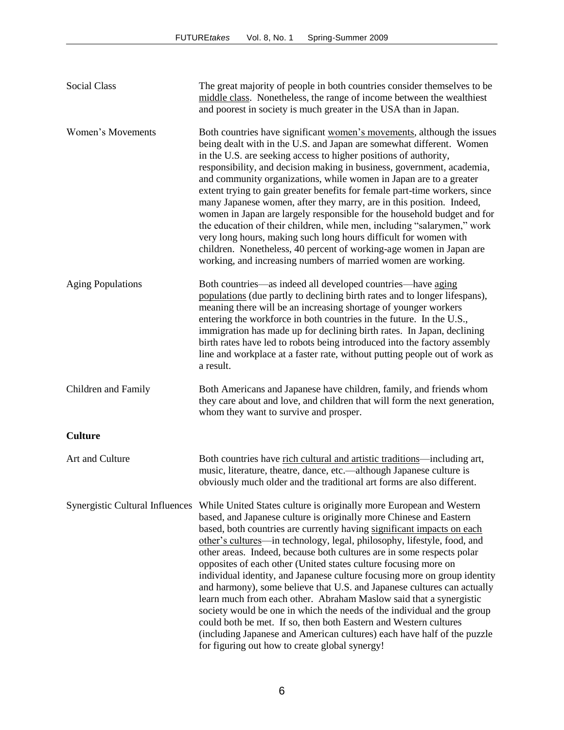| Social Class             | The great majority of people in both countries consider themselves to be<br>middle class. Nonetheless, the range of income between the wealthiest<br>and poorest in society is much greater in the USA than in Japan.                                                                                                                                                                                                                                                                                                                                                                                                                                                                                                                                                                                                                                                                                                                                                                |
|--------------------------|--------------------------------------------------------------------------------------------------------------------------------------------------------------------------------------------------------------------------------------------------------------------------------------------------------------------------------------------------------------------------------------------------------------------------------------------------------------------------------------------------------------------------------------------------------------------------------------------------------------------------------------------------------------------------------------------------------------------------------------------------------------------------------------------------------------------------------------------------------------------------------------------------------------------------------------------------------------------------------------|
| Women's Movements        | Both countries have significant women's movements, although the issues<br>being dealt with in the U.S. and Japan are somewhat different. Women<br>in the U.S. are seeking access to higher positions of authority,<br>responsibility, and decision making in business, government, academia,<br>and community organizations, while women in Japan are to a greater<br>extent trying to gain greater benefits for female part-time workers, since<br>many Japanese women, after they marry, are in this position. Indeed,<br>women in Japan are largely responsible for the household budget and for<br>the education of their children, while men, including "salarymen," work<br>very long hours, making such long hours difficult for women with<br>children. Nonetheless, 40 percent of working-age women in Japan are<br>working, and increasing numbers of married women are working.                                                                                           |
| <b>Aging Populations</b> | Both countries—as indeed all developed countries—have aging<br>populations (due partly to declining birth rates and to longer lifespans),<br>meaning there will be an increasing shortage of younger workers<br>entering the workforce in both countries in the future. In the U.S.,<br>immigration has made up for declining birth rates. In Japan, declining<br>birth rates have led to robots being introduced into the factory assembly<br>line and workplace at a faster rate, without putting people out of work as<br>a result.                                                                                                                                                                                                                                                                                                                                                                                                                                               |
| Children and Family      | Both Americans and Japanese have children, family, and friends whom<br>they care about and love, and children that will form the next generation,<br>whom they want to survive and prosper.                                                                                                                                                                                                                                                                                                                                                                                                                                                                                                                                                                                                                                                                                                                                                                                          |
| <b>Culture</b>           |                                                                                                                                                                                                                                                                                                                                                                                                                                                                                                                                                                                                                                                                                                                                                                                                                                                                                                                                                                                      |
| Art and Culture          | Both countries have rich cultural and artistic traditions—including art,<br>music, literature, theatre, dance, etc.—although Japanese culture is<br>obviously much older and the traditional art forms are also different.                                                                                                                                                                                                                                                                                                                                                                                                                                                                                                                                                                                                                                                                                                                                                           |
|                          | Synergistic Cultural Influences While United States culture is originally more European and Western<br>based, and Japanese culture is originally more Chinese and Eastern<br>based, both countries are currently having significant impacts on each<br>other's cultures—in technology, legal, philosophy, lifestyle, food, and<br>other areas. Indeed, because both cultures are in some respects polar<br>opposites of each other (United states culture focusing more on<br>individual identity, and Japanese culture focusing more on group identity<br>and harmony), some believe that U.S. and Japanese cultures can actually<br>learn much from each other. Abraham Maslow said that a synergistic<br>society would be one in which the needs of the individual and the group<br>could both be met. If so, then both Eastern and Western cultures<br>(including Japanese and American cultures) each have half of the puzzle<br>for figuring out how to create global synergy! |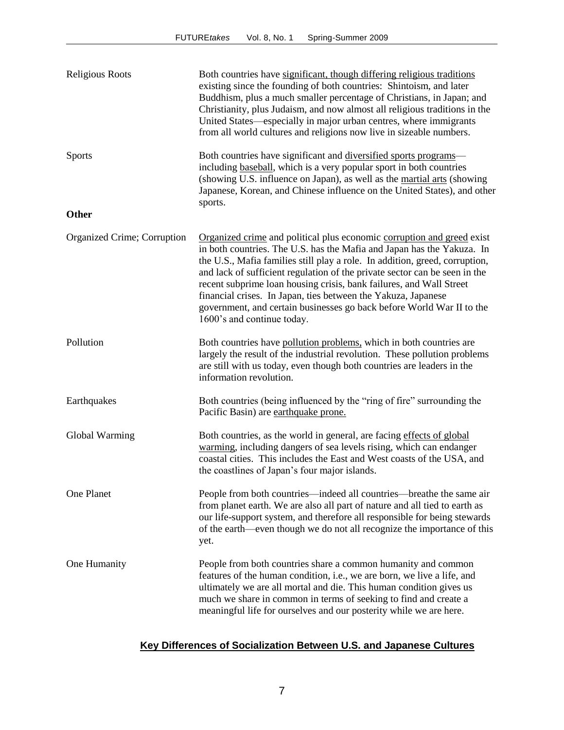| <b>Religious Roots</b>      | Both countries have significant, though differing religious traditions<br>existing since the founding of both countries: Shintoism, and later<br>Buddhism, plus a much smaller percentage of Christians, in Japan; and<br>Christianity, plus Judaism, and now almost all religious traditions in the<br>United States—especially in major urban centres, where immigrants<br>from all world cultures and religions now live in sizeable numbers.                                                                                                             |
|-----------------------------|--------------------------------------------------------------------------------------------------------------------------------------------------------------------------------------------------------------------------------------------------------------------------------------------------------------------------------------------------------------------------------------------------------------------------------------------------------------------------------------------------------------------------------------------------------------|
| <b>Sports</b>               | Both countries have significant and diversified sports programs-<br>including baseball, which is a very popular sport in both countries<br>(showing U.S. influence on Japan), as well as the martial arts (showing<br>Japanese, Korean, and Chinese influence on the United States), and other<br>sports.                                                                                                                                                                                                                                                    |
| <b>Other</b>                |                                                                                                                                                                                                                                                                                                                                                                                                                                                                                                                                                              |
| Organized Crime; Corruption | Organized crime and political plus economic corruption and greed exist<br>in both countries. The U.S. has the Mafia and Japan has the Yakuza. In<br>the U.S., Mafia families still play a role. In addition, greed, corruption,<br>and lack of sufficient regulation of the private sector can be seen in the<br>recent subprime loan housing crisis, bank failures, and Wall Street<br>financial crises. In Japan, ties between the Yakuza, Japanese<br>government, and certain businesses go back before World War II to the<br>1600's and continue today. |
| Pollution                   | Both countries have pollution problems, which in both countries are<br>largely the result of the industrial revolution. These pollution problems<br>are still with us today, even though both countries are leaders in the<br>information revolution.                                                                                                                                                                                                                                                                                                        |
| Earthquakes                 | Both countries (being influenced by the "ring of fire" surrounding the<br>Pacific Basin) are earthquake prone.                                                                                                                                                                                                                                                                                                                                                                                                                                               |
| Global Warming              | Both countries, as the world in general, are facing effects of global<br>warming, including dangers of sea levels rising, which can endanger<br>coastal cities. This includes the East and West coasts of the USA, and<br>the coastlines of Japan's four major islands.                                                                                                                                                                                                                                                                                      |
| One Planet                  | People from both countries—indeed all countries—breathe the same air<br>from planet earth. We are also all part of nature and all tied to earth as<br>our life-support system, and therefore all responsible for being stewards<br>of the earth—even though we do not all recognize the importance of this<br>yet.                                                                                                                                                                                                                                           |
| One Humanity                | People from both countries share a common humanity and common<br>features of the human condition, i.e., we are born, we live a life, and<br>ultimately we are all mortal and die. This human condition gives us<br>much we share in common in terms of seeking to find and create a<br>meaningful life for ourselves and our posterity while we are here.                                                                                                                                                                                                    |

# **Key Differences of Socialization Between U.S. and Japanese Cultures**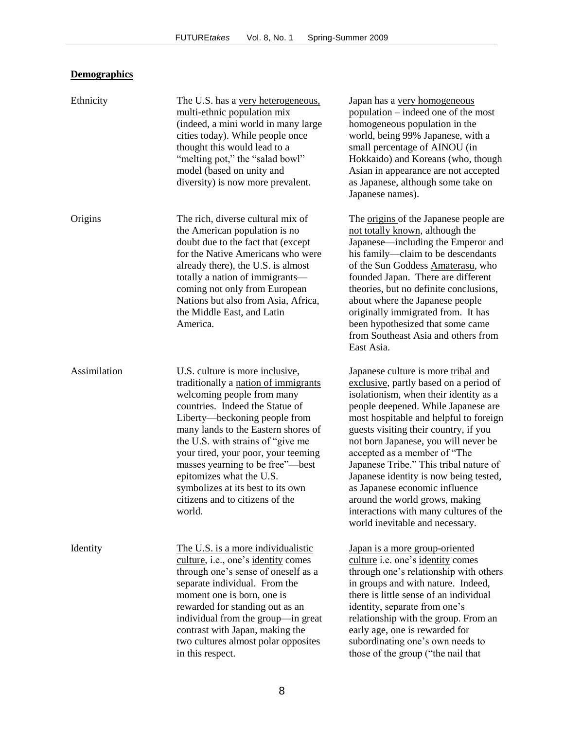# **Demographics**

| Ethnicity    | The U.S. has a very heterogeneous,<br>multi-ethnic population mix<br>(indeed, a mini world in many large<br>cities today). While people once<br>thought this would lead to a<br>"melting pot," the "salad bowl"<br>model (based on unity and<br>diversity) is now more prevalent.                                                                                                                                                                      | Japan has a very homogeneous<br>population – indeed one of the most<br>homogeneous population in the<br>world, being 99% Japanese, with a<br>small percentage of AINOU (in<br>Hokkaido) and Koreans (who, though<br>Asian in appearance are not accepted<br>as Japanese, although some take on<br>Japanese names).                                                                                                                                                                                                                                             |
|--------------|--------------------------------------------------------------------------------------------------------------------------------------------------------------------------------------------------------------------------------------------------------------------------------------------------------------------------------------------------------------------------------------------------------------------------------------------------------|----------------------------------------------------------------------------------------------------------------------------------------------------------------------------------------------------------------------------------------------------------------------------------------------------------------------------------------------------------------------------------------------------------------------------------------------------------------------------------------------------------------------------------------------------------------|
| Origins      | The rich, diverse cultural mix of<br>the American population is no<br>doubt due to the fact that (except<br>for the Native Americans who were<br>already there), the U.S. is almost<br>totally a nation of immigrants-<br>coming not only from European<br>Nations but also from Asia, Africa,<br>the Middle East, and Latin<br>America.                                                                                                               | The <u>origins</u> of the Japanese people are<br>not totally known, although the<br>Japanese—including the Emperor and<br>his family—claim to be descendants<br>of the Sun Goddess Amaterasu, who<br>founded Japan. There are different<br>theories, but no definite conclusions,<br>about where the Japanese people<br>originally immigrated from. It has<br>been hypothesized that some came<br>from Southeast Asia and others from<br>East Asia.                                                                                                            |
| Assimilation | U.S. culture is more <i>inclusive</i> ,<br>traditionally a nation of immigrants<br>welcoming people from many<br>countries. Indeed the Statue of<br>Liberty—beckoning people from<br>many lands to the Eastern shores of<br>the U.S. with strains of "give me<br>your tired, your poor, your teeming<br>masses yearning to be free"—best<br>epitomizes what the U.S.<br>symbolizes at its best to its own<br>citizens and to citizens of the<br>world. | Japanese culture is more tribal and<br>exclusive, partly based on a period of<br>isolationism, when their identity as a<br>people deepened. While Japanese are<br>most hospitable and helpful to foreign<br>guests visiting their country, if you<br>not born Japanese, you will never be<br>accepted as a member of "The<br>Japanese Tribe." This tribal nature of<br>Japanese identity is now being tested,<br>as Japanese economic influence<br>around the world grows, making<br>interactions with many cultures of the<br>world inevitable and necessary. |
| Identity     | The U.S. is a more individualistic<br>culture, i.e., one's identity comes<br>through one's sense of oneself as a<br>separate individual. From the<br>moment one is born, one is<br>rewarded for standing out as an<br>individual from the group—in great<br>contrast with Japan, making the<br>two cultures almost polar opposites<br>in this respect.                                                                                                 | Japan is a more group-oriented<br>culture i.e. one's identity comes<br>through one's relationship with others<br>in groups and with nature. Indeed,<br>there is little sense of an individual<br>identity, separate from one's<br>relationship with the group. From an<br>early age, one is rewarded for<br>subordinating one's own needs to<br>those of the group ("the nail that                                                                                                                                                                             |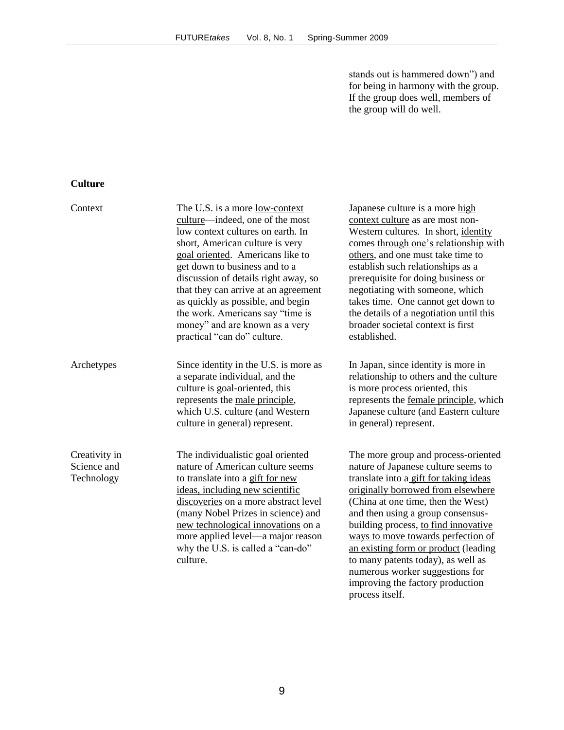stands out is hammered down") and for being in harmony with the group. If the group does well, members of the group will do well.

# **Culture**

| Context                                    | The U.S. is a more low-context<br>culture—indeed, one of the most<br>low context cultures on earth. In<br>short, American culture is very<br>goal oriented. Americans like to<br>get down to business and to a<br>discussion of details right away, so<br>that they can arrive at an agreement<br>as quickly as possible, and begin<br>the work. Americans say "time is | Japanese culture is a more high<br>context culture as are most non-<br>Western cultures. In short, identity<br>comes through one's relationship with<br>others, and one must take time to<br>establish such relationships as a<br>prerequisite for doing business or<br>negotiating with someone, which<br>takes time. One cannot get down to<br>the details of a negotiation until this                                                                                 |
|--------------------------------------------|-------------------------------------------------------------------------------------------------------------------------------------------------------------------------------------------------------------------------------------------------------------------------------------------------------------------------------------------------------------------------|--------------------------------------------------------------------------------------------------------------------------------------------------------------------------------------------------------------------------------------------------------------------------------------------------------------------------------------------------------------------------------------------------------------------------------------------------------------------------|
|                                            | money" and are known as a very<br>practical "can do" culture.                                                                                                                                                                                                                                                                                                           | broader societal context is first<br>established.                                                                                                                                                                                                                                                                                                                                                                                                                        |
| Archetypes                                 | Since identity in the U.S. is more as<br>a separate individual, and the<br>culture is goal-oriented, this<br>represents the male principle,<br>which U.S. culture (and Western<br>culture in general) represent.                                                                                                                                                        | In Japan, since identity is more in<br>relationship to others and the culture<br>is more process oriented, this<br>represents the female principle, which<br>Japanese culture (and Eastern culture<br>in general) represent.                                                                                                                                                                                                                                             |
| Creativity in<br>Science and<br>Technology | The individualistic goal oriented<br>nature of American culture seems<br>to translate into a gift for new<br>ideas, including new scientific<br>discoveries on a more abstract level<br>(many Nobel Prizes in science) and<br>new technological innovations on a<br>more applied level—a major reason<br>why the U.S. is called a "can-do"<br>culture.                  | The more group and process-oriented<br>nature of Japanese culture seems to<br>translate into a gift for taking ideas<br>originally borrowed from elsewhere<br>(China at one time, then the West)<br>and then using a group consensus-<br>building process, to find innovative<br>ways to move towards perfection of<br>an existing form or product (leading<br>to many patents today), as well as<br>numerous worker suggestions for<br>improving the factory production |

process itself.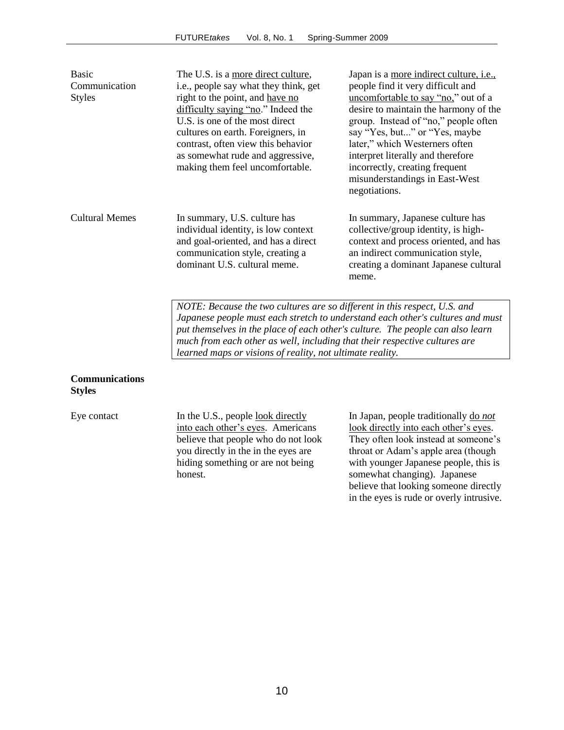| <b>Basic</b>          | The U.S. is a more direct culture,                                          | Japan is a more indirect culture, i.e., |
|-----------------------|-----------------------------------------------------------------------------|-----------------------------------------|
| Communication         | i.e., people say what they think, get                                       | people find it very difficult and       |
| <b>Styles</b>         | right to the point, and have no                                             | uncomfortable to say "no," out of a     |
|                       | difficulty saying "no." Indeed the                                          | desire to maintain the harmony of the   |
|                       | U.S. is one of the most direct                                              | group. Instead of "no," people often    |
|                       | cultures on earth. Foreigners, in                                           | say "Yes, but" or "Yes, maybe           |
|                       | contrast, often view this behavior                                          | later," which Westerners often          |
|                       | as somewhat rude and aggressive,                                            | interpret literally and therefore       |
|                       | making them feel uncomfortable.                                             | incorrectly, creating frequent          |
|                       |                                                                             | misunderstandings in East-West          |
|                       |                                                                             | negotiations.                           |
| <b>Cultural Memes</b> | In summary, U.S. culture has                                                | In summary, Japanese culture has        |
|                       | individual identity, is low context                                         | collective/group identity, is high-     |
|                       | and goal-oriented, and has a direct                                         | context and process oriented, and has   |
|                       | communication style, creating a                                             | an indirect communication style,        |
|                       | dominant U.S. cultural meme.                                                | creating a dominant Japanese cultural   |
|                       |                                                                             | meme.                                   |
|                       |                                                                             |                                         |
|                       | $MOTF$ : Recause the two cultures are so different in this respect II S and |                                         |

*Because the two cultures are so different in this respect, U.S. and Japanese people must each stretch to understand each other's cultures and must put themselves in the place of each other's culture. The people can also learn much from each other as well, including that their respective cultures are learned maps or visions of reality, not ultimate reality.*

### **Communications Styles**

Eye contact In the U.S., people look directly into each other's eyes. Americans believe that people who do not look you directly in the in the eyes are hiding something or are not being honest.

In Japan, people traditionally do *not* look directly into each other's eyes. They often look instead at someone's throat or Adam's apple area (though with younger Japanese people, this is somewhat changing). Japanese believe that looking someone directly in the eyes is rude or overly intrusive.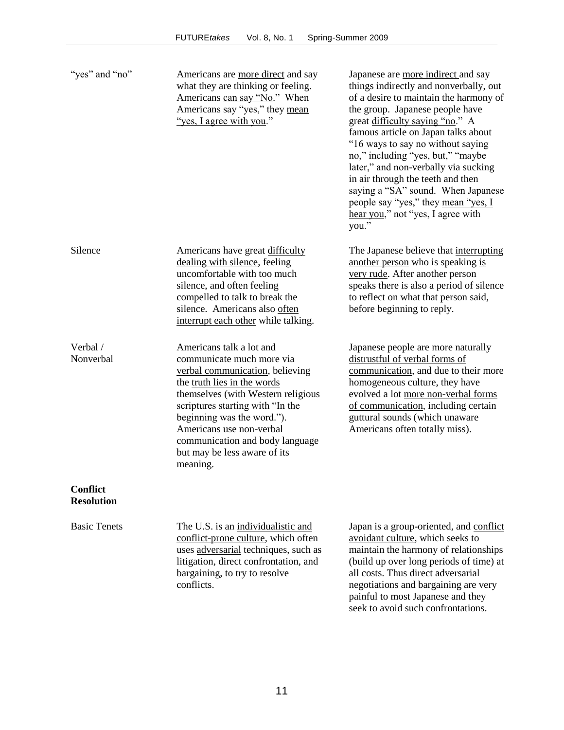| "yes" and "no"                       | Americans are more direct and say<br>what they are thinking or feeling.<br>Americans can say "No." When<br>Americans say "yes," they mean<br>"yes, I agree with you."                                                                                                                                                                      | Japanese are more indirect and say<br>things indirectly and nonverbally, out<br>of a desire to maintain the harmony of<br>the group. Japanese people have<br>great difficulty saying "no." A<br>famous article on Japan talks about<br>"16 ways to say no without saying<br>no," including "yes, but," "maybe<br>later," and non-verbally via sucking<br>in air through the teeth and then<br>saying a "SA" sound. When Japanese<br>people say "yes," they mean "yes, I<br>hear you," not "yes, I agree with<br>you." |
|--------------------------------------|--------------------------------------------------------------------------------------------------------------------------------------------------------------------------------------------------------------------------------------------------------------------------------------------------------------------------------------------|-----------------------------------------------------------------------------------------------------------------------------------------------------------------------------------------------------------------------------------------------------------------------------------------------------------------------------------------------------------------------------------------------------------------------------------------------------------------------------------------------------------------------|
| Silence                              | Americans have great difficulty<br>dealing with silence, feeling<br>uncomfortable with too much<br>silence, and often feeling<br>compelled to talk to break the<br>silence. Americans also often<br>interrupt each other while talking.                                                                                                    | The Japanese believe that interrupting<br>another person who is speaking is<br>very rude. After another person<br>speaks there is also a period of silence<br>to reflect on what that person said,<br>before beginning to reply.                                                                                                                                                                                                                                                                                      |
| Verbal /<br>Nonverbal                | Americans talk a lot and<br>communicate much more via<br>verbal communication, believing<br>the truth lies in the words<br>themselves (with Western religious<br>scriptures starting with "In the<br>beginning was the word.").<br>Americans use non-verbal<br>communication and body language<br>but may be less aware of its<br>meaning. | Japanese people are more naturally<br>distrustful of verbal forms of<br>communication, and due to their more<br>homogeneous culture, they have<br>evolved a lot more non-verbal forms<br>of communication, including certain<br>guttural sounds (which unaware<br>Americans often totally miss).                                                                                                                                                                                                                      |
| <b>Conflict</b><br><b>Resolution</b> |                                                                                                                                                                                                                                                                                                                                            |                                                                                                                                                                                                                                                                                                                                                                                                                                                                                                                       |
| <b>Basic Tenets</b>                  | The U.S. is an individualistic and<br>conflict-prone culture, which often<br>uses adversarial techniques, such as<br>litigation, direct confrontation, and<br>bargaining, to try to resolve<br>conflicts.                                                                                                                                  | Japan is a group-oriented, and conflict<br>avoidant culture, which seeks to<br>maintain the harmony of relationships<br>(build up over long periods of time) at<br>all costs. Thus direct adversarial<br>negotiations and bargaining are very<br>painful to most Japanese and they                                                                                                                                                                                                                                    |

seek to avoid such confrontations.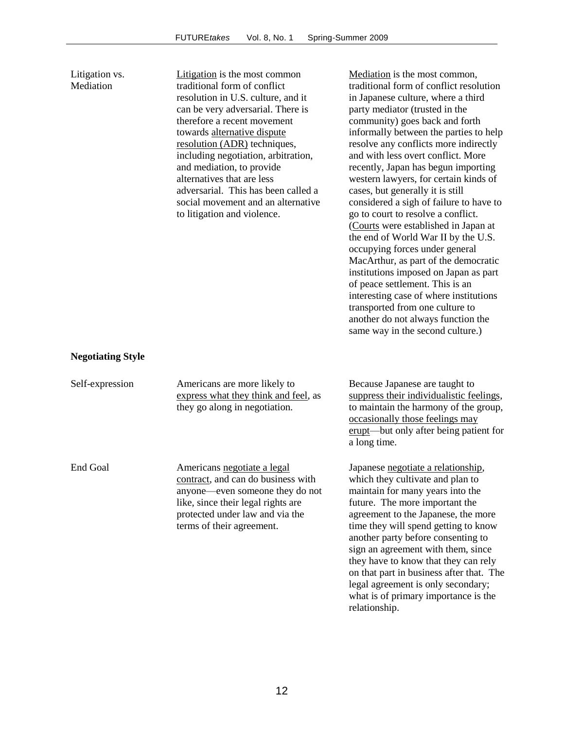| Litigation vs.<br>Mediation | Litigation is the most common<br>traditional form of conflict<br>resolution in U.S. culture, and it<br>can be very adversarial. There is<br>therefore a recent movement<br>towards alternative dispute<br>resolution (ADR) techniques,<br>including negotiation, arbitration,<br>and mediation, to provide<br>alternatives that are less<br>adversarial. This has been called a<br>social movement and an alternative<br>to litigation and violence. | Mediation is the most common,<br>traditional form of conflict resolution<br>in Japanese culture, where a third<br>party mediator (trusted in the<br>community) goes back and forth<br>informally between the parties to help<br>resolve any conflicts more indirectly<br>and with less overt conflict. More<br>recently, Japan has begun importing<br>western lawyers, for certain kinds of<br>cases, but generally it is still<br>considered a sigh of failure to have to<br>go to court to resolve a conflict.<br>(Courts were established in Japan at<br>the end of World War II by the U.S.<br>occupying forces under general<br>MacArthur, as part of the democratic<br>institutions imposed on Japan as part<br>of peace settlement. This is an<br>interesting case of where institutions<br>transported from one culture to<br>another do not always function the<br>same way in the second culture.) |
|-----------------------------|------------------------------------------------------------------------------------------------------------------------------------------------------------------------------------------------------------------------------------------------------------------------------------------------------------------------------------------------------------------------------------------------------------------------------------------------------|--------------------------------------------------------------------------------------------------------------------------------------------------------------------------------------------------------------------------------------------------------------------------------------------------------------------------------------------------------------------------------------------------------------------------------------------------------------------------------------------------------------------------------------------------------------------------------------------------------------------------------------------------------------------------------------------------------------------------------------------------------------------------------------------------------------------------------------------------------------------------------------------------------------|
| <b>Negotiating Style</b>    |                                                                                                                                                                                                                                                                                                                                                                                                                                                      |                                                                                                                                                                                                                                                                                                                                                                                                                                                                                                                                                                                                                                                                                                                                                                                                                                                                                                              |
| Self-expression             | Americans are more likely to<br>express what they think and feel, as<br>they go along in negotiation.                                                                                                                                                                                                                                                                                                                                                | Because Japanese are taught to<br>suppress their individualistic feelings,<br>to maintain the harmony of the group,<br>occasionally those feelings may<br>erupt—but only after being patient for<br>a long time.                                                                                                                                                                                                                                                                                                                                                                                                                                                                                                                                                                                                                                                                                             |
| <b>End Goal</b>             | Americans negotiate a legal<br>contract, and can do business with<br>anyone—even someone they do not<br>like, since their legal rights are<br>protected under law and via the<br>terms of their agreement.                                                                                                                                                                                                                                           | Japanese negotiate a relationship,<br>which they cultivate and plan to<br>maintain for many years into the<br>future. The more important the<br>agreement to the Japanese, the more<br>time they will spend getting to know<br>another party before consenting to<br>sign an agreement with them, since<br>they have to know that they can rely<br>on that part in business after that. The<br>legal agreement is only secondary;<br>what is of primary importance is the<br>relationship.                                                                                                                                                                                                                                                                                                                                                                                                                   |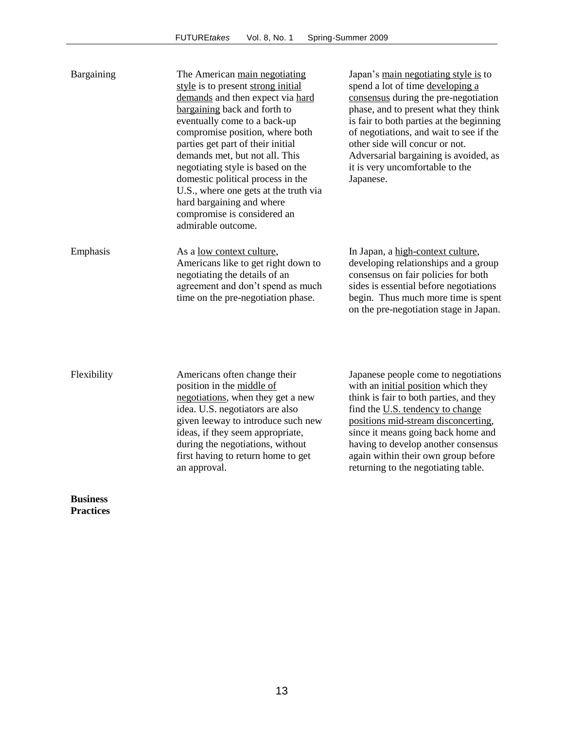| Bargaining  | The American main negotiating<br>style is to present strong initial<br>demands and then expect via hard<br>bargaining back and forth to<br>eventually come to a back-up<br>compromise position, where both<br>parties get part of their initial<br>demands met, but not all. This<br>negotiating style is based on the<br>domestic political process in the<br>U.S., where one gets at the truth via<br>hard bargaining and where<br>compromise is considered an<br>admirable outcome. | Japan's main negotiating style is to<br>spend a lot of time developing a<br>consensus during the pre-negotiation<br>phase, and to present what they think<br>is fair to both parties at the beginning<br>of negotiations, and wait to see if the<br>other side will concur or not.<br>Adversarial bargaining is avoided, as<br>it is very uncomfortable to the<br>Japanese. |
|-------------|----------------------------------------------------------------------------------------------------------------------------------------------------------------------------------------------------------------------------------------------------------------------------------------------------------------------------------------------------------------------------------------------------------------------------------------------------------------------------------------|-----------------------------------------------------------------------------------------------------------------------------------------------------------------------------------------------------------------------------------------------------------------------------------------------------------------------------------------------------------------------------|
| Emphasis    | As a <u>low context culture</u> ,<br>Americans like to get right down to<br>negotiating the details of an<br>agreement and don't spend as much<br>time on the pre-negotiation phase.                                                                                                                                                                                                                                                                                                   | In Japan, a high-context culture,<br>developing relationships and a group<br>consensus on fair policies for both<br>sides is essential before negotiations<br>begin. Thus much more time is spent<br>on the pre-negotiation stage in Japan.                                                                                                                                 |
| Flexibility | Americans often change their<br>position in the middle of<br>negotiations, when they get a new<br>idea II Stanantiatore are alco                                                                                                                                                                                                                                                                                                                                                       | Japanese people come to negotiations<br>with an <i>initial</i> position which they<br>think is fair to both parties, and they<br>find the II Standancy to change                                                                                                                                                                                                            |

**Business Practices**

idea. U.S. negotiators are also given leeway to introduce such new ideas, if they seem appropriate, during the negotiations, without first having to return home to get an approval.

find the  $U.S.$  tendency to change</u> positions mid-stream disconcerting, since it means going back home and having to develop another consensus again within their own group before returning to the negotiating table.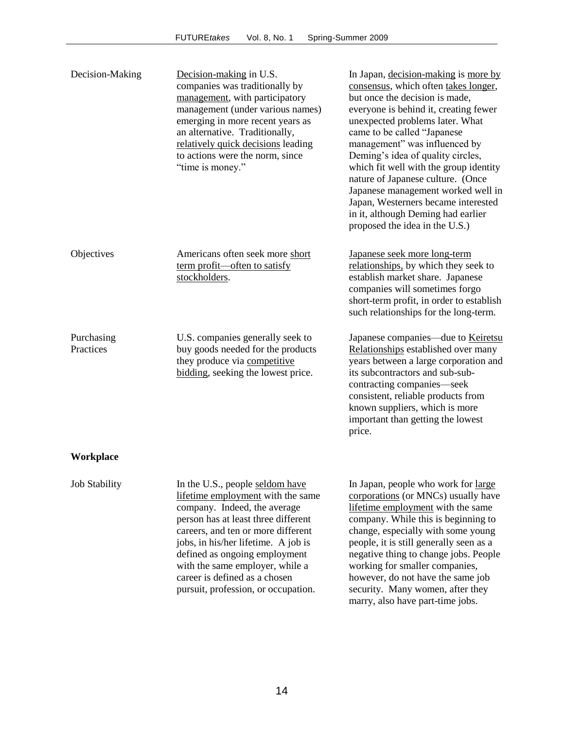| Decision-Making         | Decision-making in U.S.<br>companies was traditionally by<br>management, with participatory<br>management (under various names)<br>emerging in more recent years as<br>an alternative. Traditionally,<br>relatively quick decisions leading<br>to actions were the norm, since<br>"time is money."                                                                   | In Japan, decision-making is more by<br>consensus, which often takes longer,<br>but once the decision is made,<br>everyone is behind it, creating fewer<br>unexpected problems later. What<br>came to be called "Japanese<br>management" was influenced by<br>Deming's idea of quality circles,<br>which fit well with the group identity<br>nature of Japanese culture. (Once<br>Japanese management worked well in<br>Japan, Westerners became interested<br>in it, although Deming had earlier<br>proposed the idea in the U.S.) |
|-------------------------|----------------------------------------------------------------------------------------------------------------------------------------------------------------------------------------------------------------------------------------------------------------------------------------------------------------------------------------------------------------------|-------------------------------------------------------------------------------------------------------------------------------------------------------------------------------------------------------------------------------------------------------------------------------------------------------------------------------------------------------------------------------------------------------------------------------------------------------------------------------------------------------------------------------------|
| Objectives              | Americans often seek more short<br>term profit—often to satisfy<br>stockholders.                                                                                                                                                                                                                                                                                     | Japanese seek more long-term<br>relationships, by which they seek to<br>establish market share. Japanese<br>companies will sometimes forgo<br>short-term profit, in order to establish<br>such relationships for the long-term.                                                                                                                                                                                                                                                                                                     |
| Purchasing<br>Practices | U.S. companies generally seek to<br>buy goods needed for the products<br>they produce via competitive<br>bidding, seeking the lowest price.                                                                                                                                                                                                                          | Japanese companies—due to Keiretsu<br>Relationships established over many<br>years between a large corporation and<br>its subcontractors and sub-sub-<br>contracting companies—seek<br>consistent, reliable products from<br>known suppliers, which is more<br>important than getting the lowest<br>price.                                                                                                                                                                                                                          |
| Workplace               |                                                                                                                                                                                                                                                                                                                                                                      |                                                                                                                                                                                                                                                                                                                                                                                                                                                                                                                                     |
| <b>Job Stability</b>    | In the U.S., people seldom have<br>lifetime employment with the same<br>company. Indeed, the average<br>person has at least three different<br>careers, and ten or more different<br>jobs, in his/her lifetime. A job is<br>defined as ongoing employment<br>with the same employer, while a<br>career is defined as a chosen<br>pursuit, profession, or occupation. | In Japan, people who work for large<br>corporations (or MNCs) usually have<br>lifetime employment with the same<br>company. While this is beginning to<br>change, especially with some young<br>people, it is still generally seen as a<br>negative thing to change jobs. People<br>working for smaller companies,<br>however, do not have the same job<br>security. Many women, after they<br>marry, also have part-time jobs.                                                                                                     |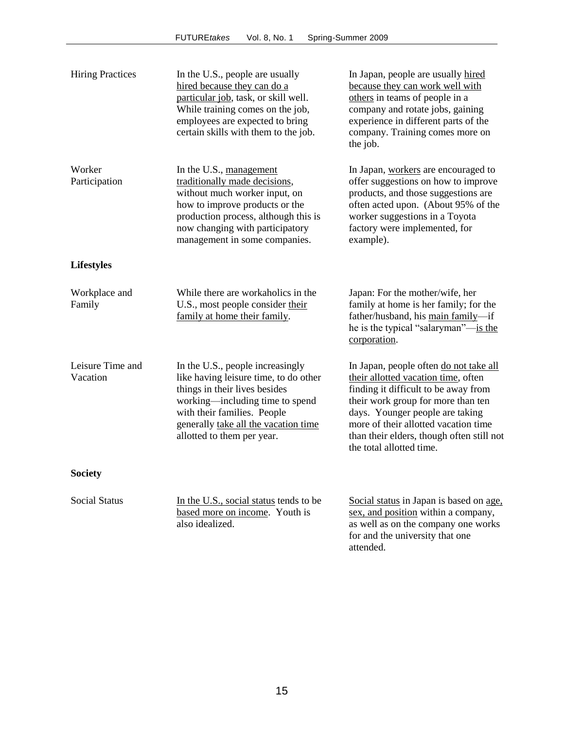| <b>Hiring Practices</b>      | In the U.S., people are usually<br>hired because they can do a<br>particular job, task, or skill well.<br>While training comes on the job,<br>employees are expected to bring<br>certain skills with them to the job.                              | In Japan, people are usually hired<br>because they can work well with<br>others in teams of people in a<br>company and rotate jobs, gaining<br>experience in different parts of the<br>company. Training comes more on<br>the job.                                                                              |
|------------------------------|----------------------------------------------------------------------------------------------------------------------------------------------------------------------------------------------------------------------------------------------------|-----------------------------------------------------------------------------------------------------------------------------------------------------------------------------------------------------------------------------------------------------------------------------------------------------------------|
| Worker<br>Participation      | In the U.S., management<br>traditionally made decisions,<br>without much worker input, on<br>how to improve products or the<br>production process, although this is<br>now changing with participatory<br>management in some companies.            | In Japan, workers are encouraged to<br>offer suggestions on how to improve<br>products, and those suggestions are<br>often acted upon. (About 95% of the<br>worker suggestions in a Toyota<br>factory were implemented, for<br>example).                                                                        |
| <b>Lifestyles</b>            |                                                                                                                                                                                                                                                    |                                                                                                                                                                                                                                                                                                                 |
| Workplace and<br>Family      | While there are workaholics in the<br>U.S., most people consider their<br>family at home their family.                                                                                                                                             | Japan: For the mother/wife, her<br>family at home is her family; for the<br>father/husband, his main family-if<br>he is the typical "salaryman"—is the<br>corporation.                                                                                                                                          |
| Leisure Time and<br>Vacation | In the U.S., people increasingly<br>like having leisure time, to do other<br>things in their lives besides<br>working—including time to spend<br>with their families. People<br>generally take all the vacation time<br>allotted to them per year. | In Japan, people often do not take all<br>their allotted vacation time, often<br>finding it difficult to be away from<br>their work group for more than ten<br>days. Younger people are taking<br>more of their allotted vacation time<br>than their elders, though often still not<br>the total allotted time. |
| <b>Society</b>               |                                                                                                                                                                                                                                                    |                                                                                                                                                                                                                                                                                                                 |
| <b>Social Status</b>         | In the U.S., social status tends to be<br>based more on income. Youth is<br>also idealized.                                                                                                                                                        | Social status in Japan is based on age,<br>sex, and position within a company,<br>as well as on the company one works<br>for and the university that one<br>attended.                                                                                                                                           |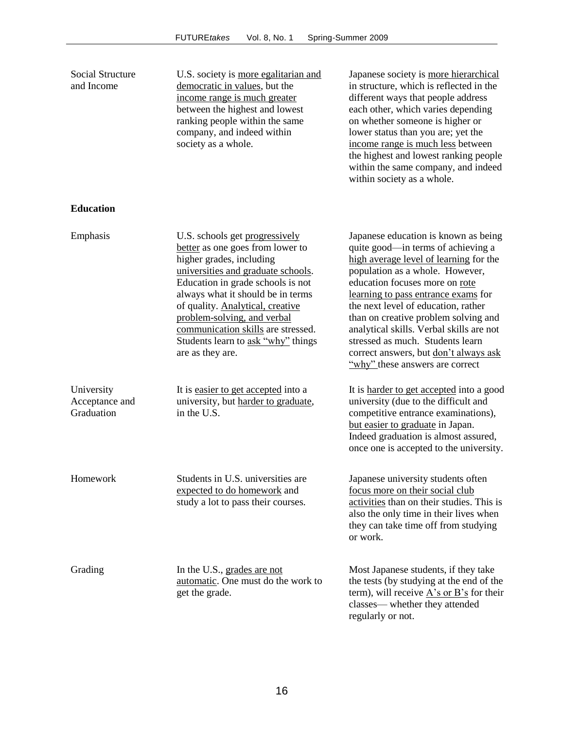| Social Structure<br>and Income             | U.S. society is more egalitarian and<br>democratic in values, but the<br>income range is much greater<br>between the highest and lowest<br>ranking people within the same<br>company, and indeed within<br>society as a whole.                                                                                                                                                    | Japanese society is more hierarchical<br>in structure, which is reflected in the<br>different ways that people address<br>each other, which varies depending<br>on whether someone is higher or<br>lower status than you are; yet the<br>income range is much less between<br>the highest and lowest ranking people<br>within the same company, and indeed<br>within society as a whole.                                                                                    |
|--------------------------------------------|-----------------------------------------------------------------------------------------------------------------------------------------------------------------------------------------------------------------------------------------------------------------------------------------------------------------------------------------------------------------------------------|-----------------------------------------------------------------------------------------------------------------------------------------------------------------------------------------------------------------------------------------------------------------------------------------------------------------------------------------------------------------------------------------------------------------------------------------------------------------------------|
| <b>Education</b>                           |                                                                                                                                                                                                                                                                                                                                                                                   |                                                                                                                                                                                                                                                                                                                                                                                                                                                                             |
| Emphasis                                   | U.S. schools get progressively<br>better as one goes from lower to<br>higher grades, including<br>universities and graduate schools.<br>Education in grade schools is not<br>always what it should be in terms<br>of quality. Analytical, creative<br>problem-solving, and verbal<br>communication skills are stressed.<br>Students learn to ask "why" things<br>are as they are. | Japanese education is known as being<br>quite good-in terms of achieving a<br>high average level of learning for the<br>population as a whole. However,<br>education focuses more on rote<br>learning to pass entrance exams for<br>the next level of education, rather<br>than on creative problem solving and<br>analytical skills. Verbal skills are not<br>stressed as much. Students learn<br>correct answers, but don't always ask<br>"why" these answers are correct |
| University<br>Acceptance and<br>Graduation | It is easier to get accepted into a<br>university, but harder to graduate,<br>in the U.S.                                                                                                                                                                                                                                                                                         | It is harder to get accepted into a good<br>university (due to the difficult and<br>competitive entrance examinations),<br>but easier to graduate in Japan.<br>Indeed graduation is almost assured,<br>once one is accepted to the university.                                                                                                                                                                                                                              |
| Homework                                   | Students in U.S. universities are<br>expected to do homework and<br>study a lot to pass their courses.                                                                                                                                                                                                                                                                            | Japanese university students often<br>focus more on their social club<br>activities than on their studies. This is<br>also the only time in their lives when<br>they can take time off from studying<br>or work.                                                                                                                                                                                                                                                            |
| Grading                                    | In the U.S., grades are not<br>automatic. One must do the work to<br>get the grade.                                                                                                                                                                                                                                                                                               | Most Japanese students, if they take<br>the tests (by studying at the end of the<br>term), will receive $\overrightarrow{A}$ 's or $\overrightarrow{B}$ 's for their<br>classes—whether they attended<br>regularly or not.                                                                                                                                                                                                                                                  |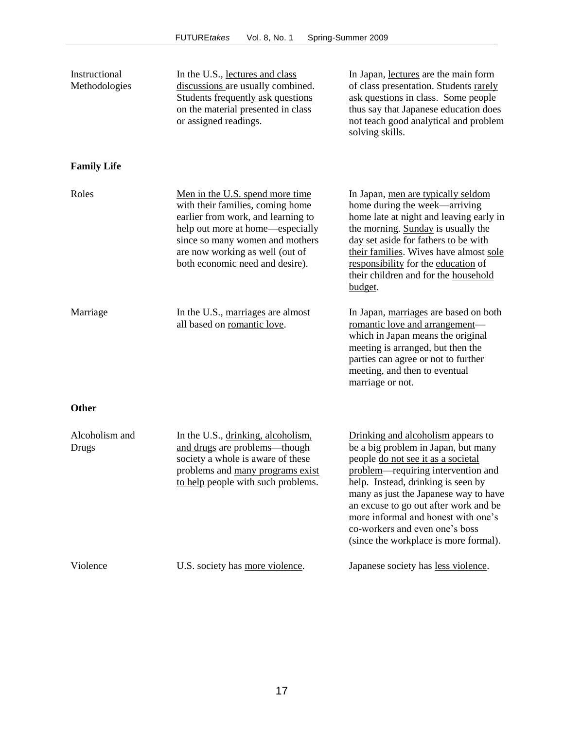| Instructional<br>Methodologies | In the U.S., lectures and class<br>discussions are usually combined.<br>Students frequently ask questions<br>on the material presented in class<br>or assigned readings.                                                                               | In Japan, lectures are the main form<br>of class presentation. Students rarely<br>ask questions in class. Some people<br>thus say that Japanese education does<br>not teach good analytical and problem<br>solving skills.                                                                                                                                                                      |
|--------------------------------|--------------------------------------------------------------------------------------------------------------------------------------------------------------------------------------------------------------------------------------------------------|-------------------------------------------------------------------------------------------------------------------------------------------------------------------------------------------------------------------------------------------------------------------------------------------------------------------------------------------------------------------------------------------------|
| <b>Family Life</b>             |                                                                                                                                                                                                                                                        |                                                                                                                                                                                                                                                                                                                                                                                                 |
| Roles                          | Men in the U.S. spend more time<br>with their families, coming home<br>earlier from work, and learning to<br>help out more at home—especially<br>since so many women and mothers<br>are now working as well (out of<br>both economic need and desire). | In Japan, men are typically seldom<br>home during the week—arriving<br>home late at night and leaving early in<br>the morning. Sunday is usually the<br>day set aside for fathers to be with<br>their families. Wives have almost sole<br>responsibility for the education of<br>their children and for the household<br>budget.                                                                |
| Marriage                       | In the U.S., marriages are almost<br>all based on romantic love.                                                                                                                                                                                       | In Japan, marriages are based on both<br>romantic love and arrangement-<br>which in Japan means the original<br>meeting is arranged, but then the<br>parties can agree or not to further<br>meeting, and then to eventual<br>marriage or not.                                                                                                                                                   |
| <b>Other</b>                   |                                                                                                                                                                                                                                                        |                                                                                                                                                                                                                                                                                                                                                                                                 |
| Alcoholism and<br><b>Drugs</b> | In the U.S., drinking, alcoholism,<br>and drugs are problems-though<br>society a whole is aware of these<br>problems and many programs exist<br>to help people with such problems.                                                                     | Drinking and alcoholism appears to<br>be a big problem in Japan, but many<br>people do not see it as a societal<br>problem—requiring intervention and<br>help. Instead, drinking is seen by<br>many as just the Japanese way to have<br>an excuse to go out after work and be<br>more informal and honest with one's<br>co-workers and even one's boss<br>(since the workplace is more formal). |
| Violence                       | U.S. society has more violence.                                                                                                                                                                                                                        | Japanese society has less violence.                                                                                                                                                                                                                                                                                                                                                             |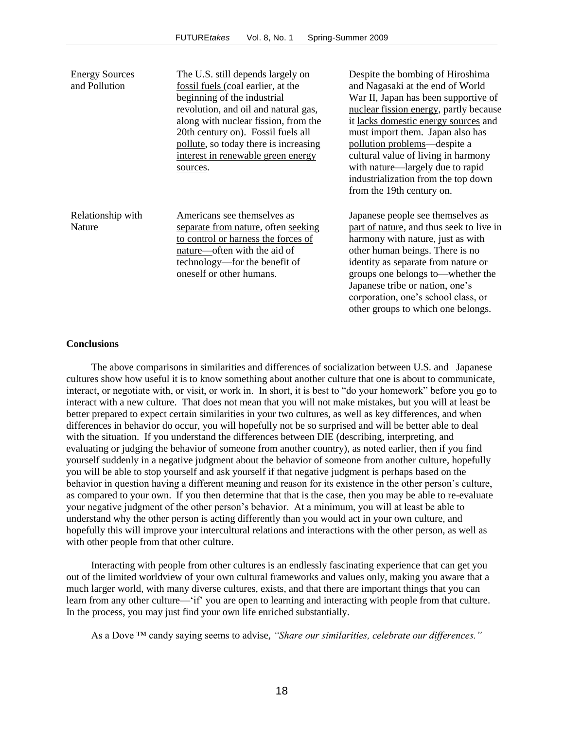| <b>Energy Sources</b><br>and Pollution | The U.S. still depends largely on<br>fossil fuels (coal earlier, at the<br>beginning of the industrial<br>revolution, and oil and natural gas,<br>along with nuclear fission, from the<br>20th century on). Fossil fuels all<br>pollute, so today there is increasing<br>interest in renewable green energy<br>sources. | Despite the bombing of Hiroshima<br>and Nagasaki at the end of World<br>War II, Japan has been supportive of<br>nuclear fission energy, partly because<br>it lacks domestic energy sources and<br>must import them. Japan also has<br>pollution problems—despite a<br>cultural value of living in harmony<br>with nature—largely due to rapid<br>industrialization from the top down<br>from the 19th century on. |
|----------------------------------------|-------------------------------------------------------------------------------------------------------------------------------------------------------------------------------------------------------------------------------------------------------------------------------------------------------------------------|-------------------------------------------------------------------------------------------------------------------------------------------------------------------------------------------------------------------------------------------------------------------------------------------------------------------------------------------------------------------------------------------------------------------|
| Relationship with<br>Nature            | Americans see themselves as<br>separate from nature, often seeking<br>to control or harness the forces of<br>nature—often with the aid of<br>technology—for the benefit of<br>oneself or other humans.                                                                                                                  | Japanese people see themselves as<br>part of nature, and thus seek to live in<br>harmony with nature, just as with<br>other human beings. There is no<br>identity as separate from nature or<br>groups one belongs to—whether the<br>Japanese tribe or nation, one's<br>corporation, one's school class, or<br>other groups to which one belongs.                                                                 |

#### **Conclusions**

The above comparisons in similarities and differences of socialization between U.S. and Japanese cultures show how useful it is to know something about another culture that one is about to communicate, interact, or negotiate with, or visit, or work in. In short, it is best to "do your homework" before you go to interact with a new culture. That does not mean that you will not make mistakes, but you will at least be better prepared to expect certain similarities in your two cultures, as well as key differences, and when differences in behavior do occur, you will hopefully not be so surprised and will be better able to deal with the situation. If you understand the differences between DIE (describing, interpreting, and evaluating or judging the behavior of someone from another country), as noted earlier, then if you find yourself suddenly in a negative judgment about the behavior of someone from another culture, hopefully you will be able to stop yourself and ask yourself if that negative judgment is perhaps based on the behavior in question having a different meaning and reason for its existence in the other person's culture, as compared to your own. If you then determine that that is the case, then you may be able to re-evaluate your negative judgment of the other person's behavior. At a minimum, you will at least be able to understand why the other person is acting differently than you would act in your own culture, and hopefully this will improve your intercultural relations and interactions with the other person, as well as with other people from that other culture.

Interacting with people from other cultures is an endlessly fascinating experience that can get you out of the limited worldview of your own cultural frameworks and values only, making you aware that a much larger world, with many diverse cultures, exists, and that there are important things that you can learn from any other culture— 'if' you are open to learning and interacting with people from that culture. In the process, you may just find your own life enriched substantially.

As a Dove ™ candy saying seems to advise, *"Share our similarities, celebrate our differences."*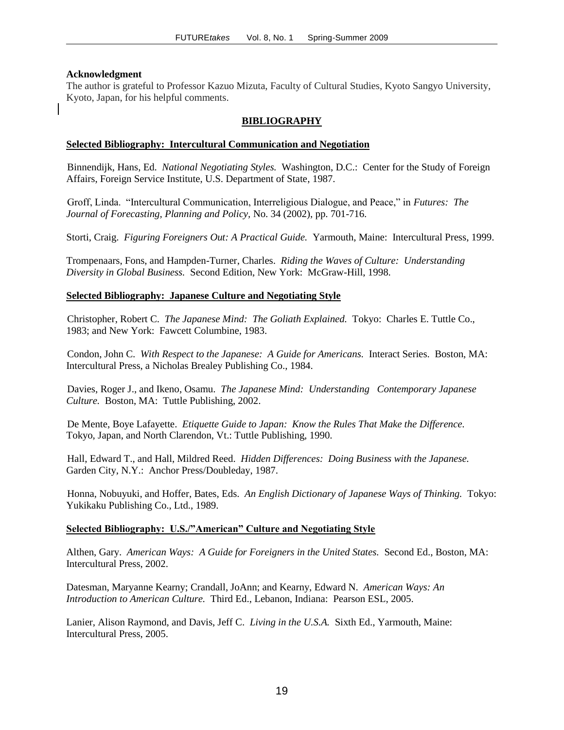### **Acknowledgment**

The author is grateful to Professor Kazuo Mizuta, Faculty of Cultural Studies, Kyoto Sangyo University, Kyoto, Japan, for his helpful comments.

### **BIBLIOGRAPHY**

### **Selected Bibliography: Intercultural Communication and Negotiation**

Binnendijk, Hans, Ed. *National Negotiating Styles.* Washington, D.C.: Center for the Study of Foreign Affairs, Foreign Service Institute, U.S. Department of State, 1987.

Groff, Linda. "Intercultural Communication, Interreligious Dialogue, and Peace," in *Futures: The Journal of Forecasting, Planning and Policy,* No. 34 (2002), pp. 701-716.

Storti, Craig. *Figuring Foreigners Out: A Practical Guide.* Yarmouth, Maine: Intercultural Press, 1999.

Trompenaars, Fons, and Hampden-Turner, Charles. *Riding the Waves of Culture: Understanding Diversity in Global Business.* Second Edition, New York: McGraw-Hill, 1998.

### **Selected Bibliography: Japanese Culture and Negotiating Style**

Christopher, Robert C. *The Japanese Mind: The Goliath Explained.* Tokyo: Charles E. Tuttle Co., 1983; and New York: Fawcett Columbine, 1983.

Condon, John C. *With Respect to the Japanese: A Guide for Americans.* Interact Series. Boston, MA: Intercultural Press, a Nicholas Brealey Publishing Co., 1984.

Davies, Roger J., and Ikeno, Osamu. *The Japanese Mind: Understanding Contemporary Japanese Culture.* Boston, MA: Tuttle Publishing, 2002.

De Mente, Boye Lafayette. *Etiquette Guide to Japan: Know the Rules That Make the Difference.* Tokyo, Japan, and North Clarendon, Vt.: Tuttle Publishing, 1990.

Hall, Edward T., and Hall, Mildred Reed. *Hidden Differences: Doing Business with the Japanese.* Garden City, N.Y.: Anchor Press/Doubleday, 1987.

Honna, Nobuyuki, and Hoffer, Bates, Eds. *An English Dictionary of Japanese Ways of Thinking.* Tokyo: Yukikaku Publishing Co., Ltd., 1989.

### **Selected Bibliography: U.S./"American" Culture and Negotiating Style**

Althen, Gary. *American Ways: A Guide for Foreigners in the United States.* Second Ed., Boston, MA: Intercultural Press, 2002.

Datesman, Maryanne Kearny; Crandall, JoAnn; and Kearny, Edward N. *American Ways: An Introduction to American Culture.* Third Ed., Lebanon, Indiana: Pearson ESL, 2005.

Lanier, Alison Raymond, and Davis, Jeff C. *Living in the U.S.A.* Sixth Ed., Yarmouth, Maine: Intercultural Press, 2005.